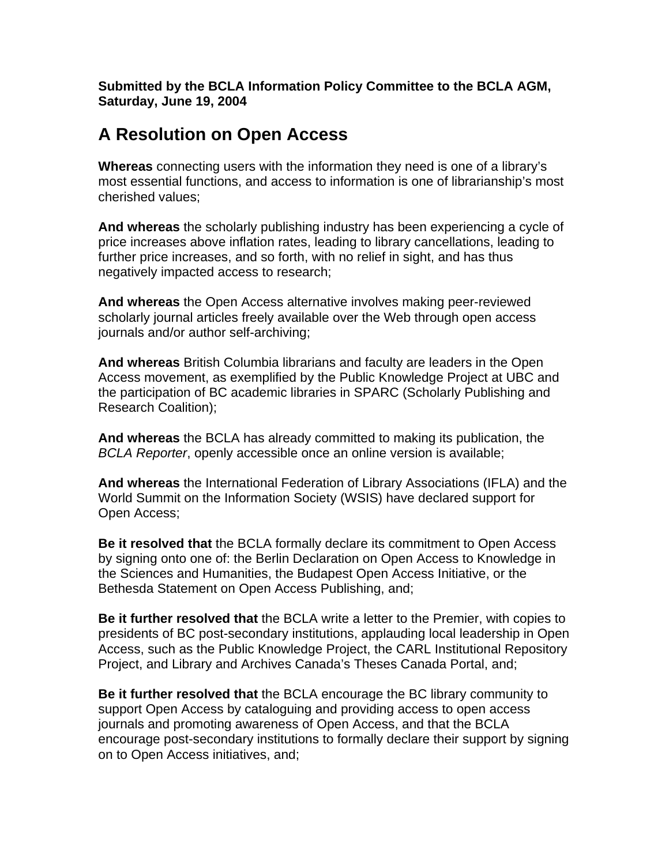**Submitted by the BCLA Information Policy Committee to the BCLA AGM, Saturday, June 19, 2004** 

## **A Resolution on Open Access**

**Whereas** connecting users with the information they need is one of a library's most essential functions, and access to information is one of librarianship's most cherished values;

**And whereas** the scholarly publishing industry has been experiencing a cycle of price increases above inflation rates, leading to library cancellations, leading to further price increases, and so forth, with no relief in sight, and has thus negatively impacted access to research;

**And whereas** the Open Access alternative involves making peer-reviewed scholarly journal articles freely available over the Web through open access journals and/or author self-archiving;

**And whereas** British Columbia librarians and faculty are leaders in the Open Access movement, as exemplified by the Public Knowledge Project at UBC and the participation of BC academic libraries in SPARC (Scholarly Publishing and Research Coalition);

**And whereas** the BCLA has already committed to making its publication, the *BCLA Reporter*, openly accessible once an online version is available;

**And whereas** the International Federation of Library Associations (IFLA) and the World Summit on the Information Society (WSIS) have declared support for Open Access;

**Be it resolved that** the BCLA formally declare its commitment to Open Access by signing onto one of: the Berlin Declaration on Open Access to Knowledge in the Sciences and Humanities, the Budapest Open Access Initiative, or the Bethesda Statement on Open Access Publishing, and;

**Be it further resolved that** the BCLA write a letter to the Premier, with copies to presidents of BC post-secondary institutions, applauding local leadership in Open Access, such as the Public Knowledge Project, the CARL Institutional Repository Project, and Library and Archives Canada's Theses Canada Portal, and;

**Be it further resolved that** the BCLA encourage the BC library community to support Open Access by cataloguing and providing access to open access journals and promoting awareness of Open Access, and that the BCLA encourage post-secondary institutions to formally declare their support by signing on to Open Access initiatives, and;